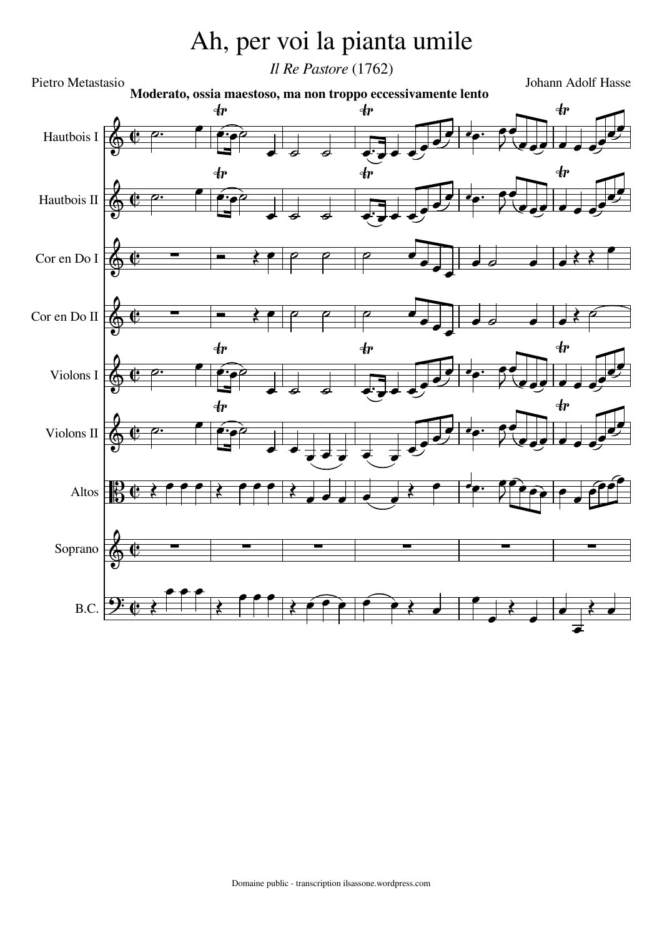## Ah, per voi la pianta umile

*Il Re Pastore* (1762)

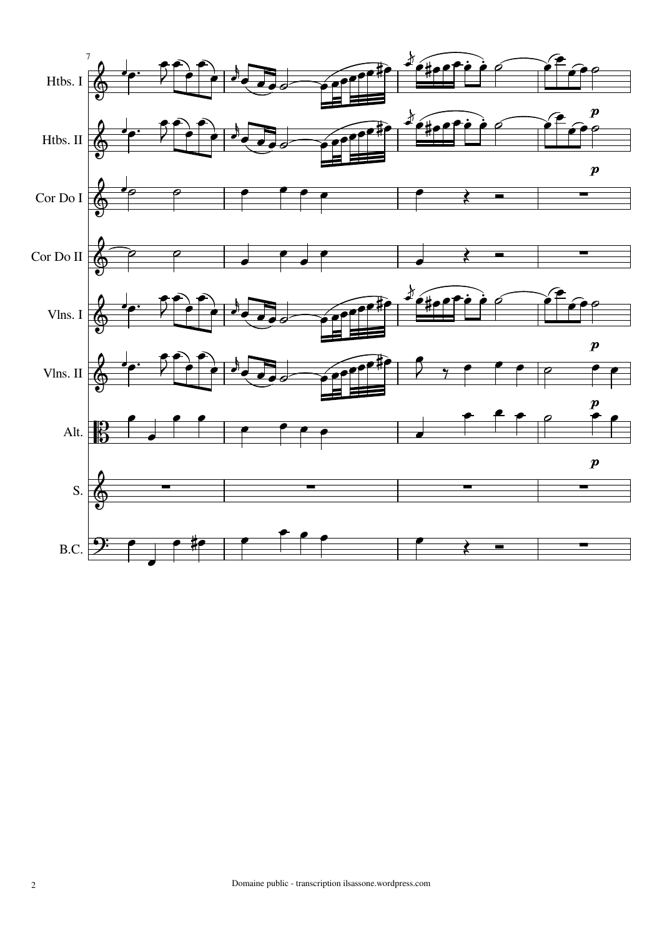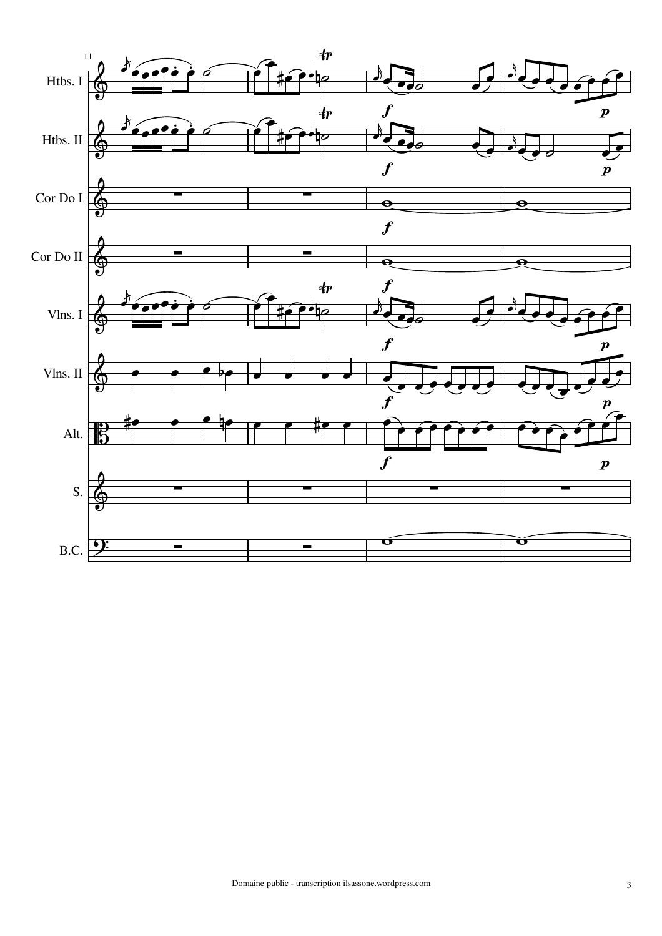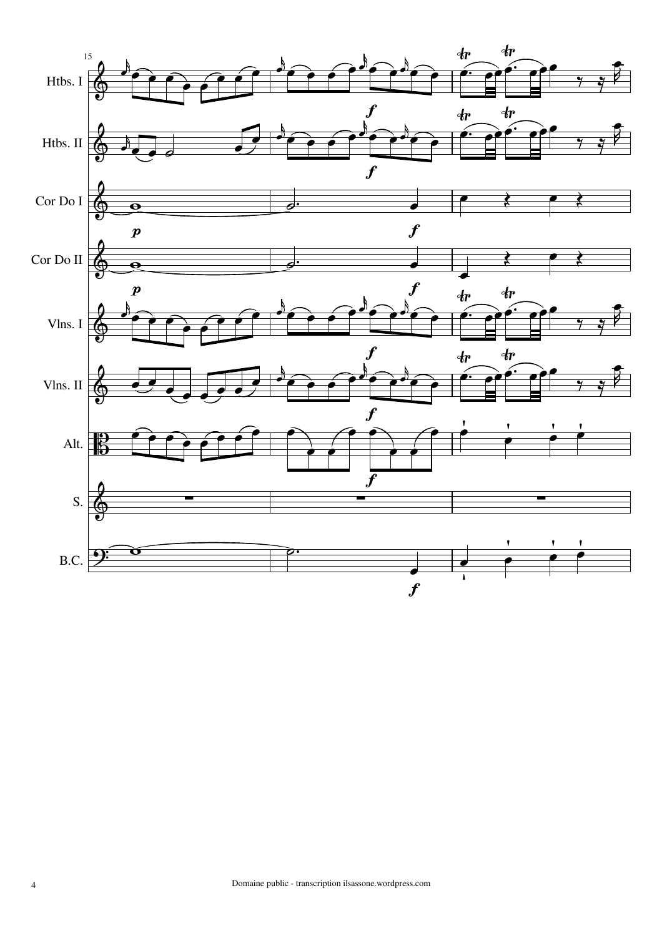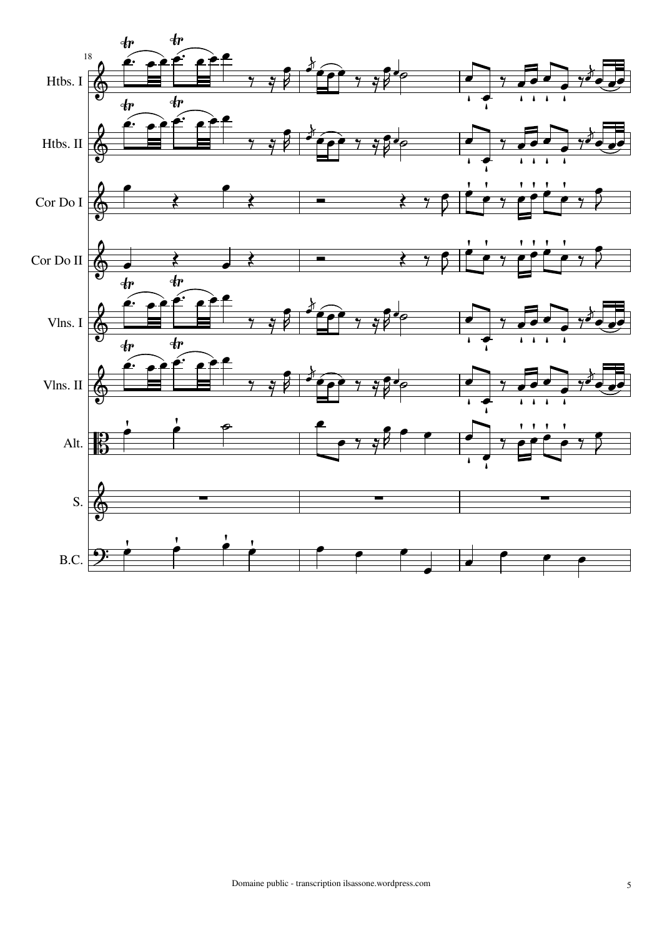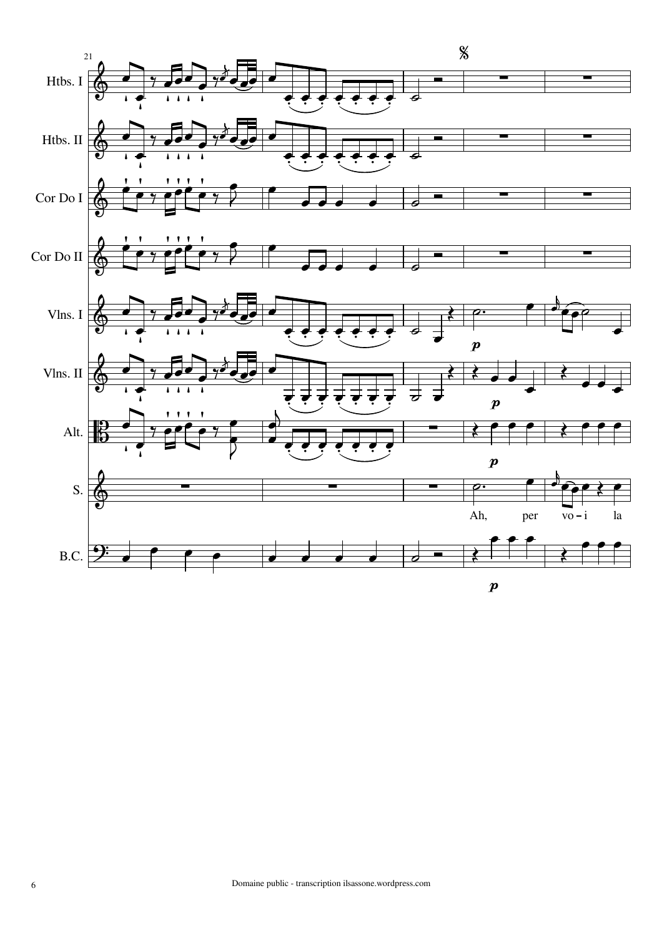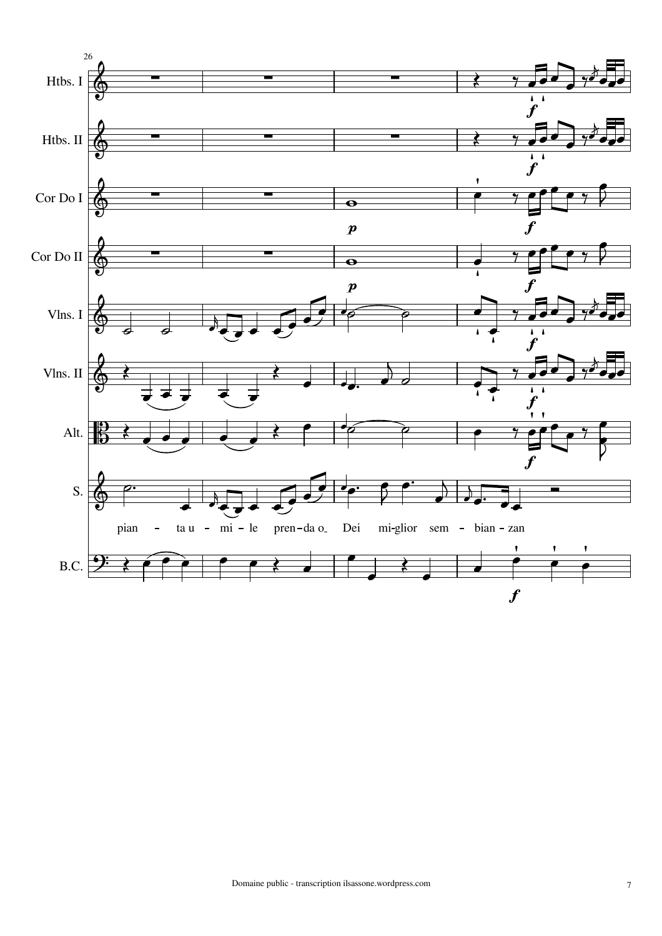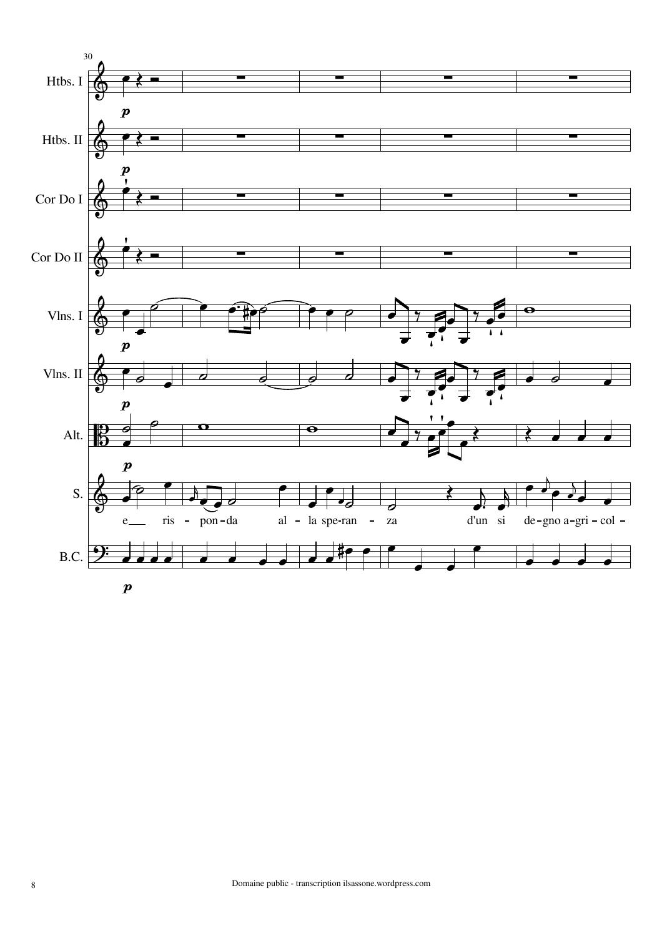

Domaine public - transcription ilsassone.wordpress.com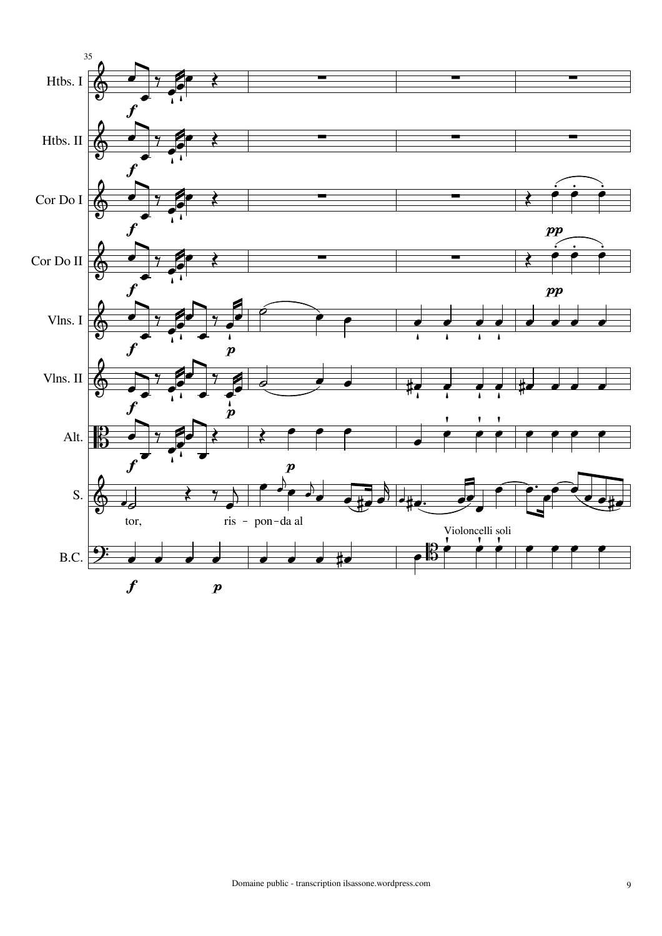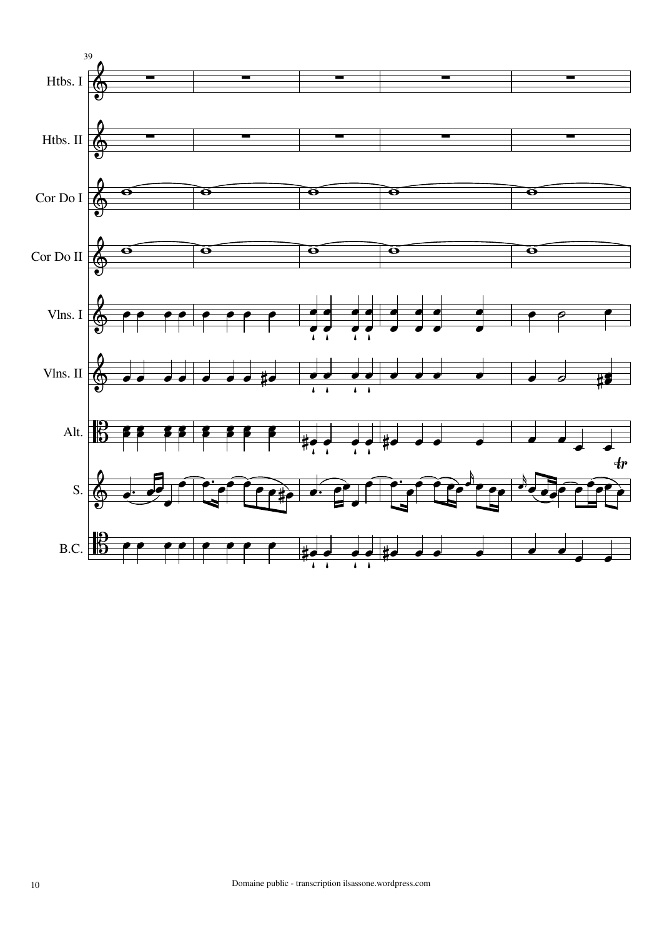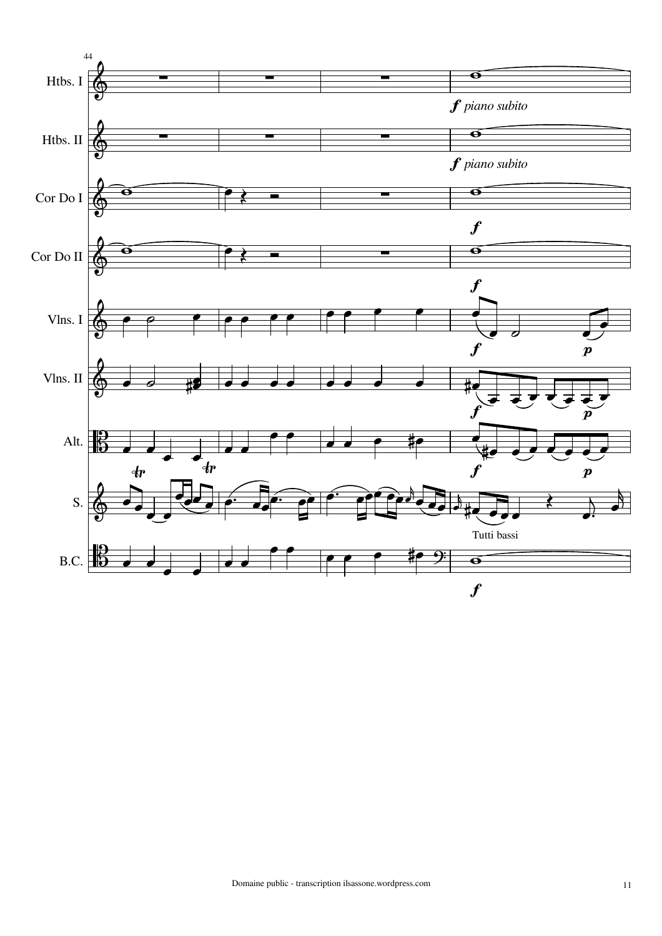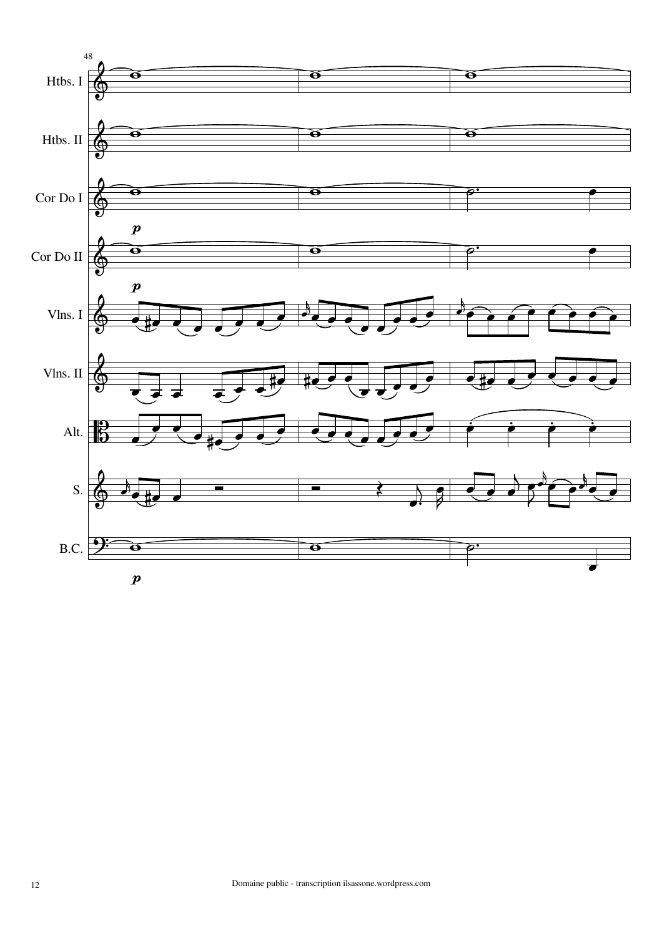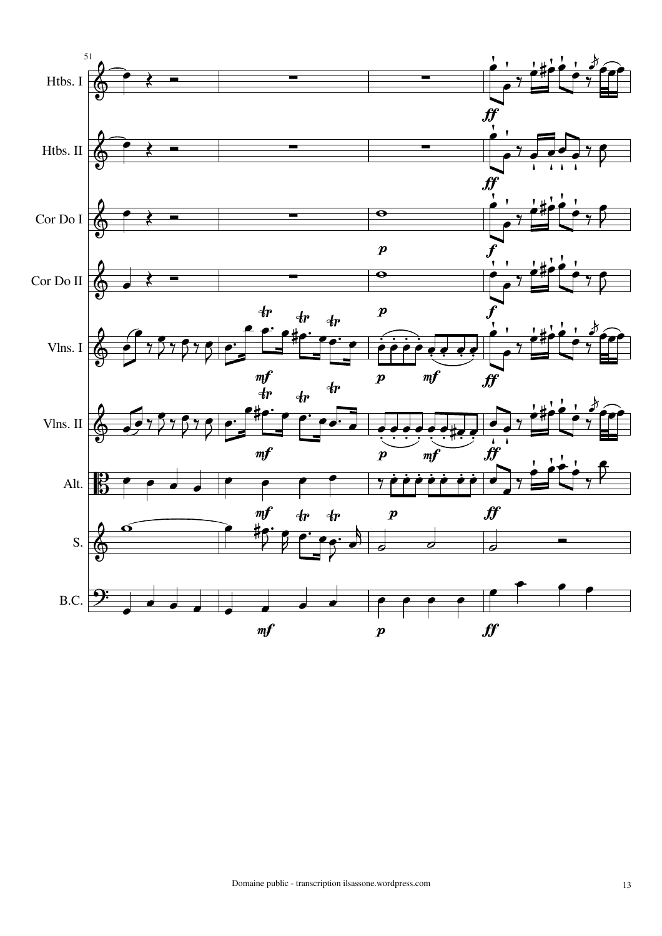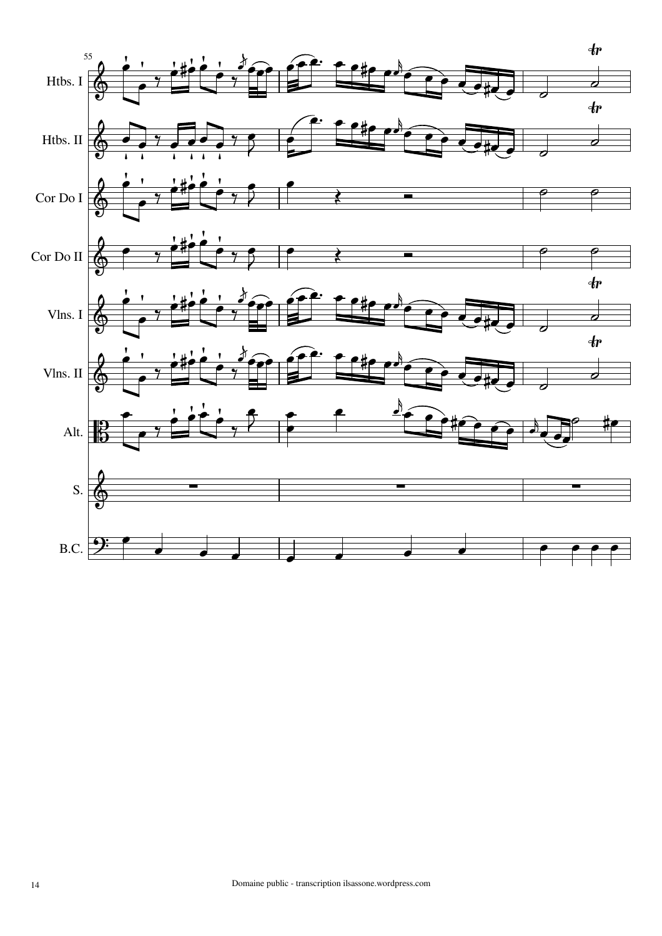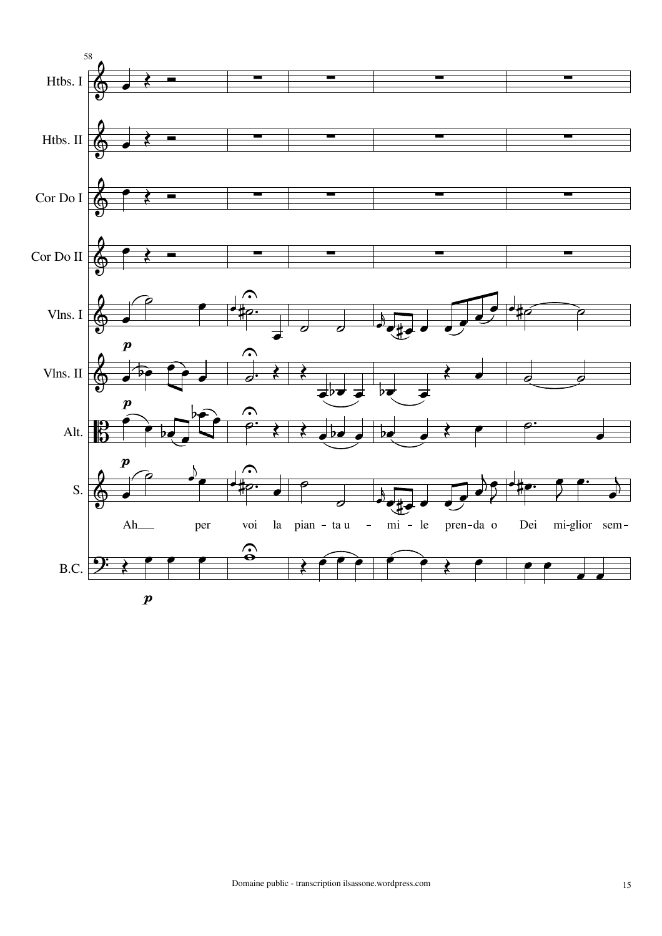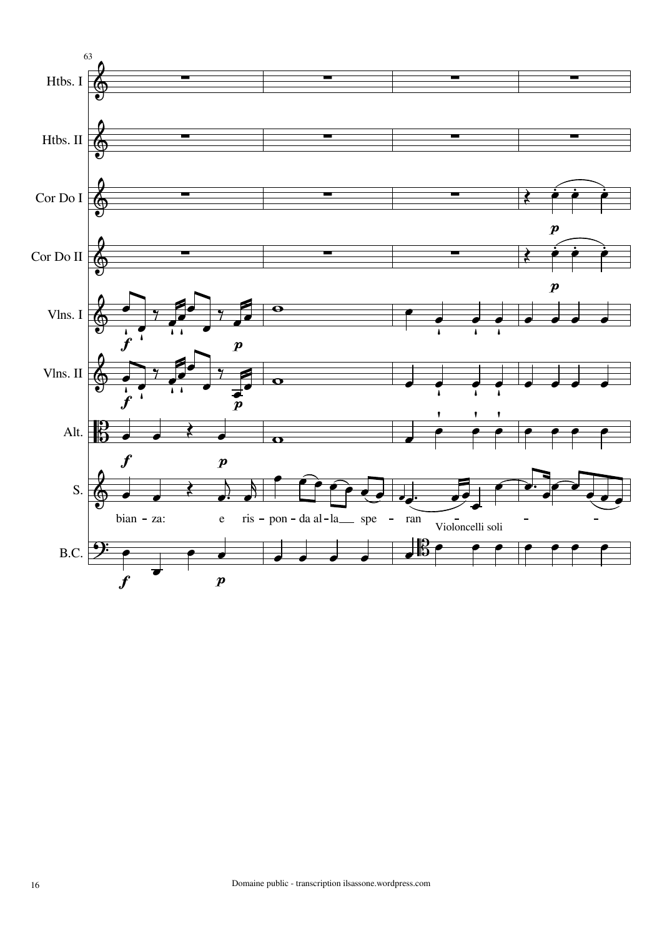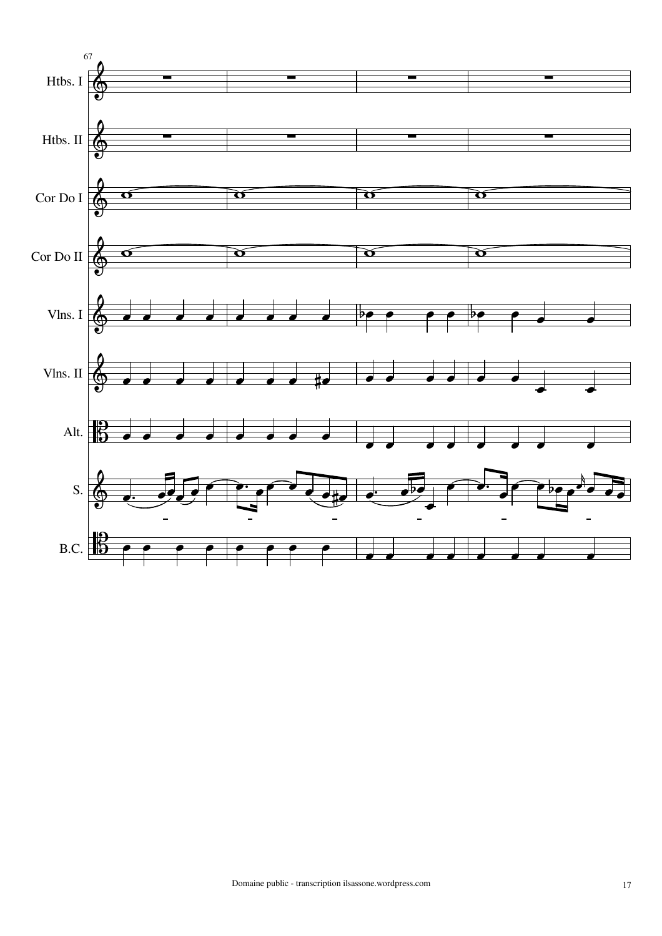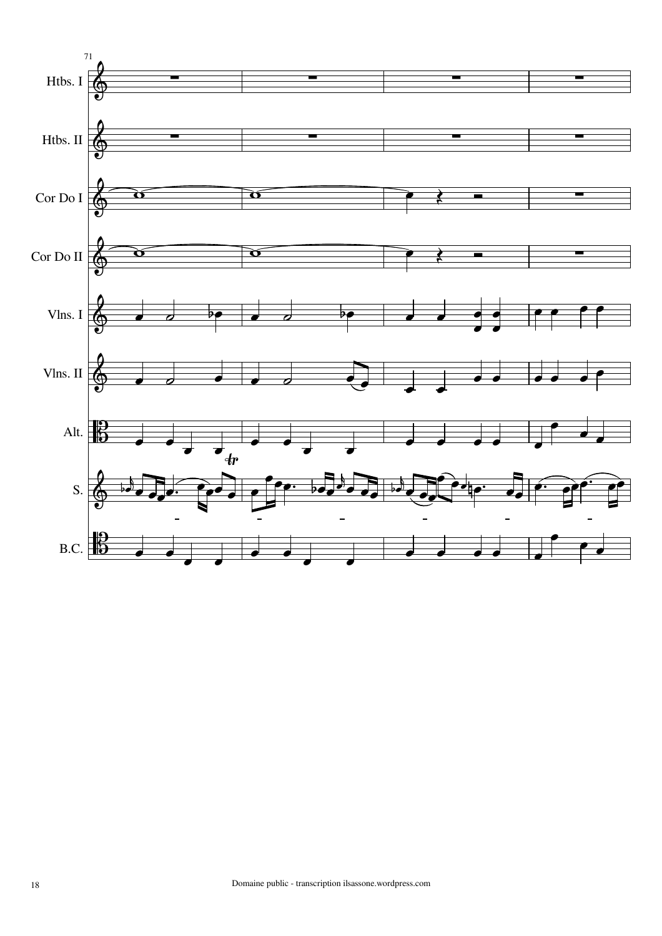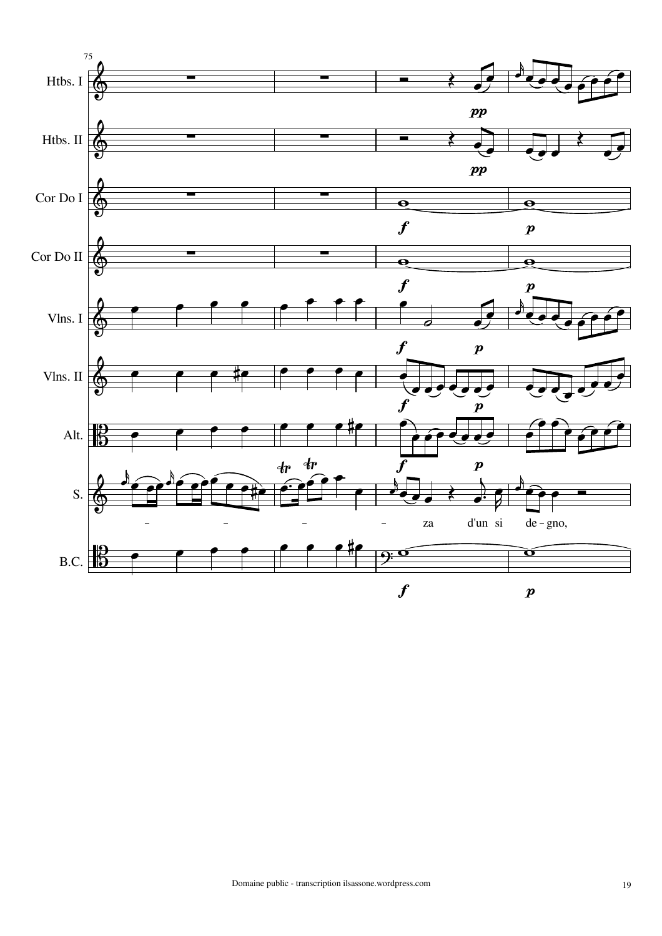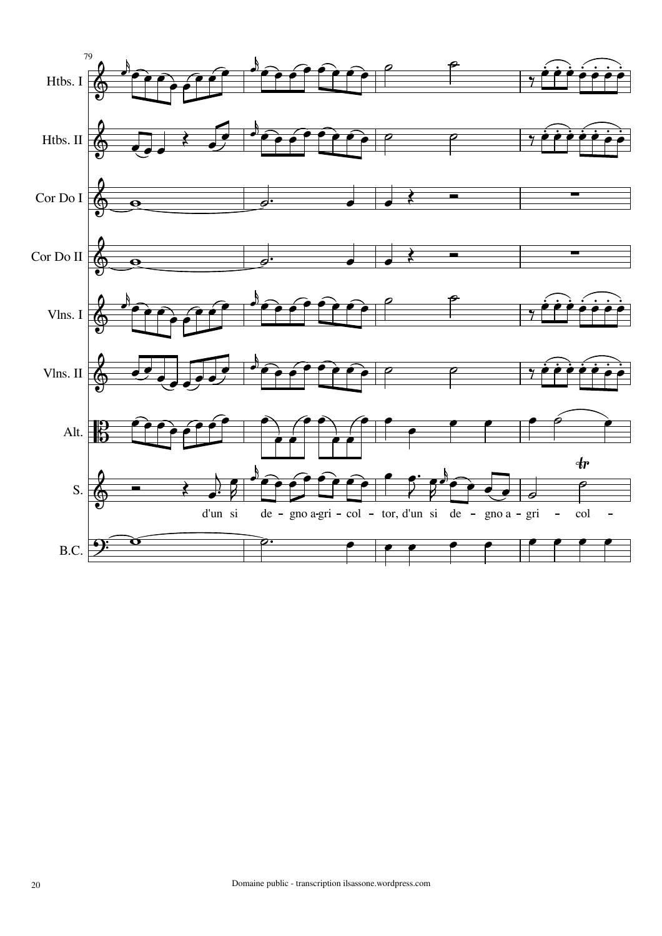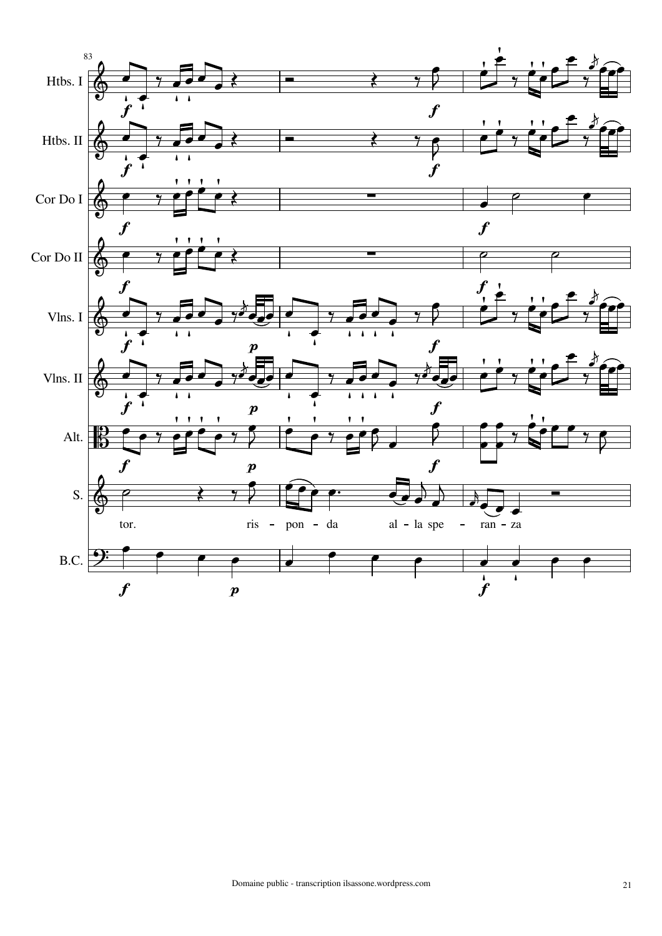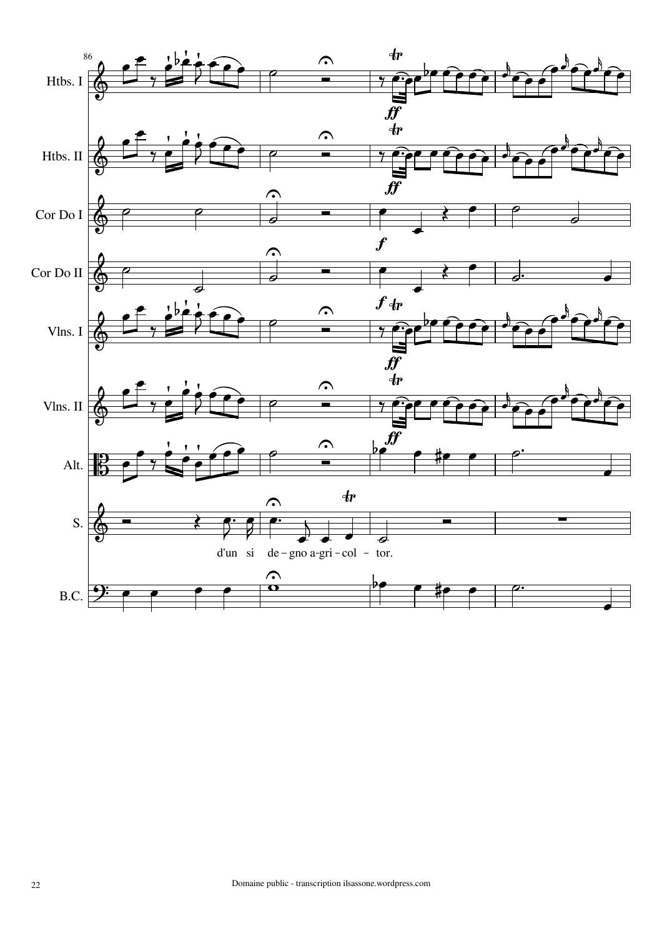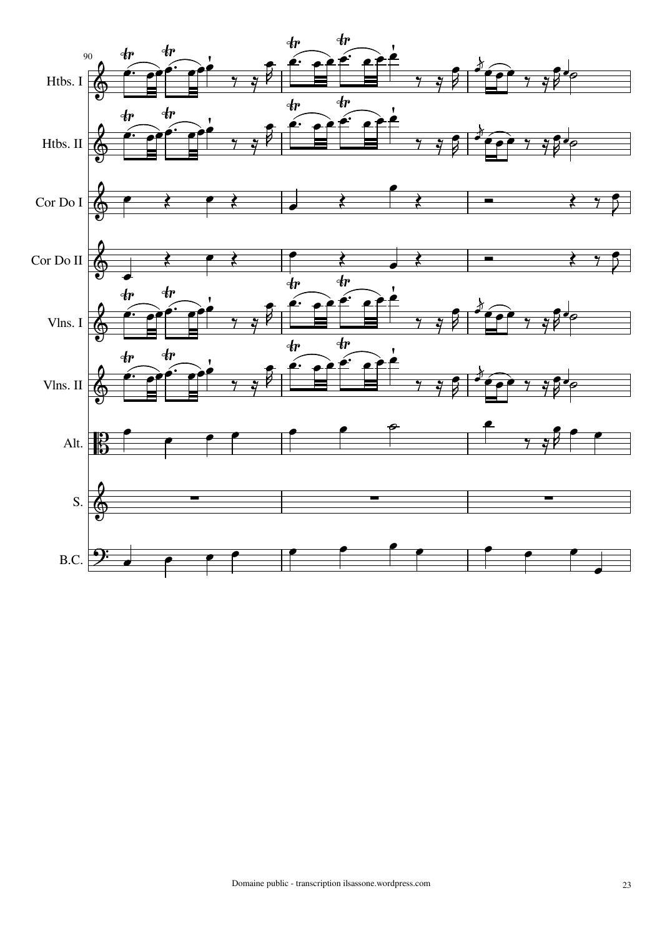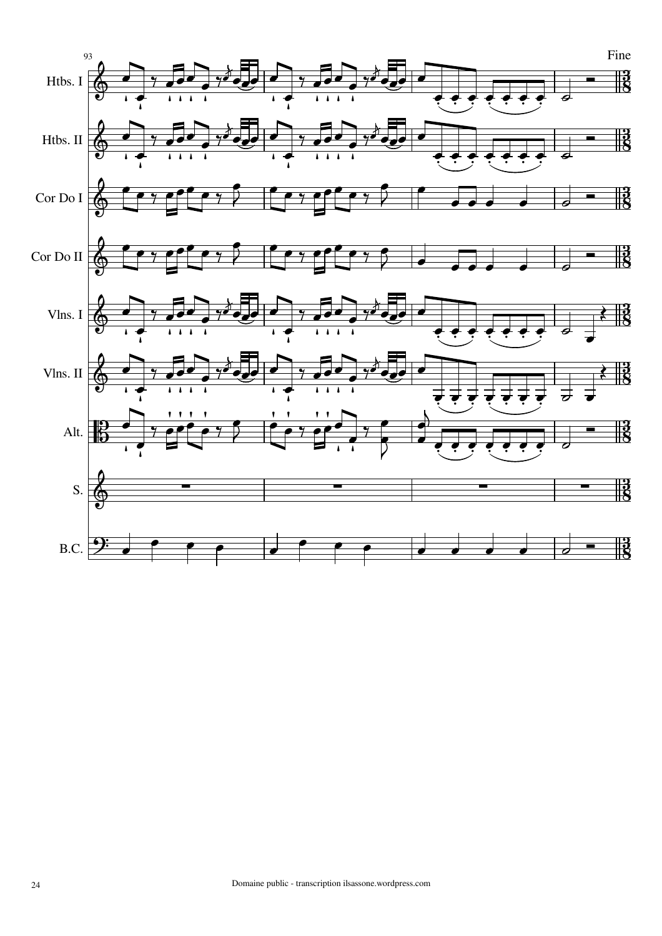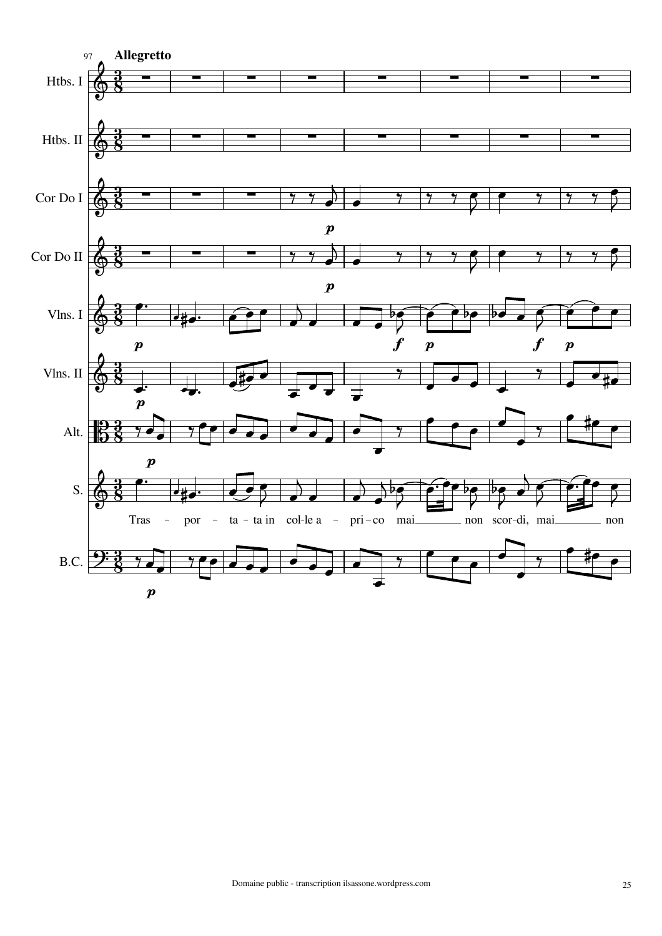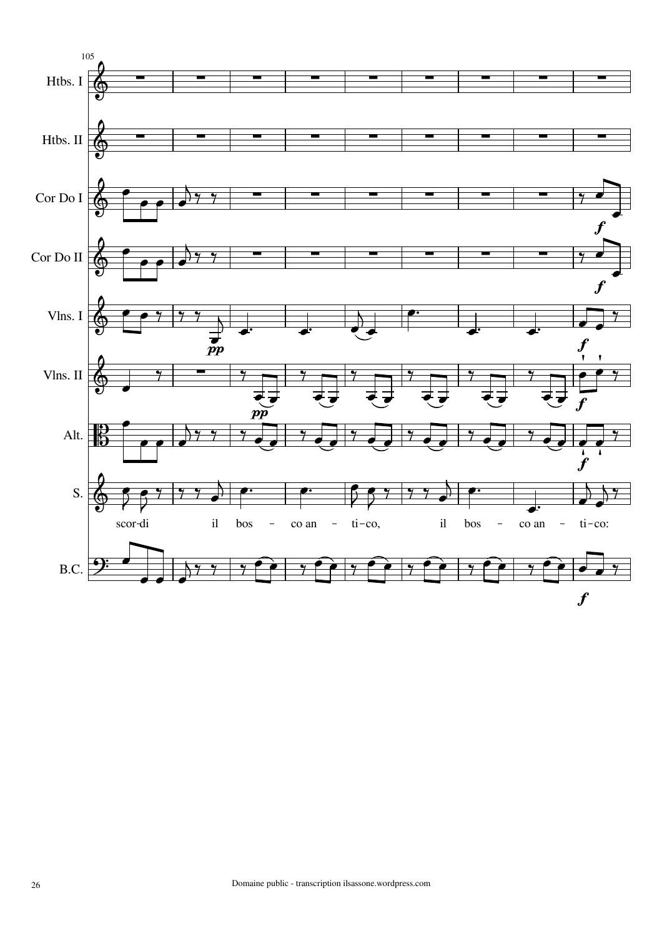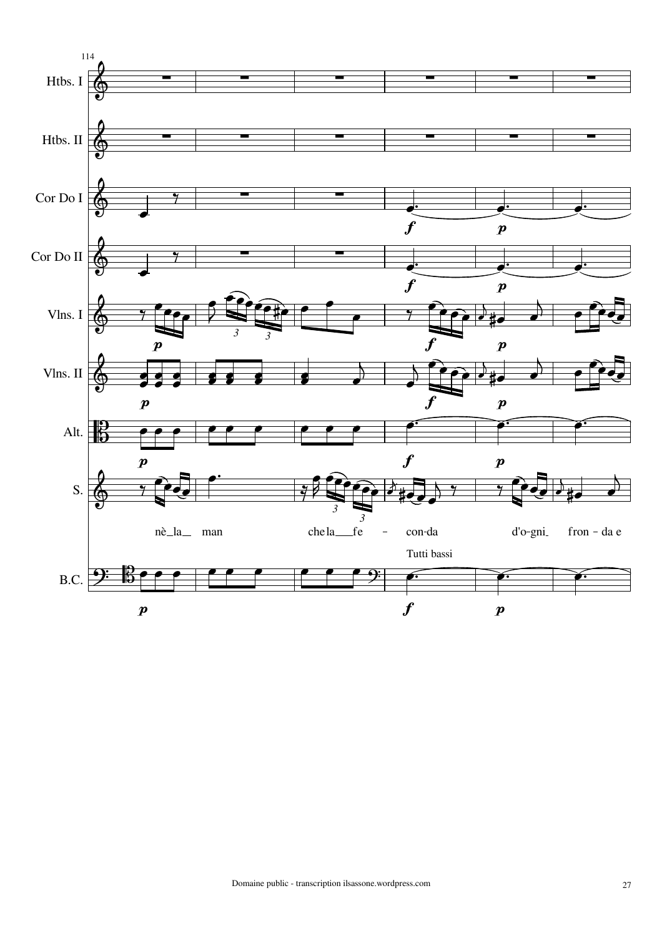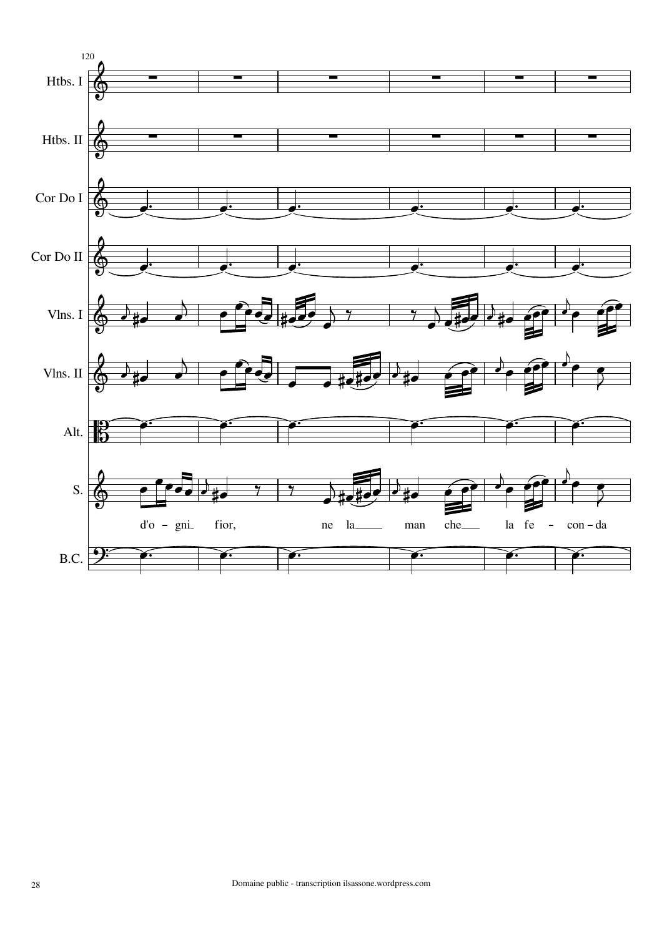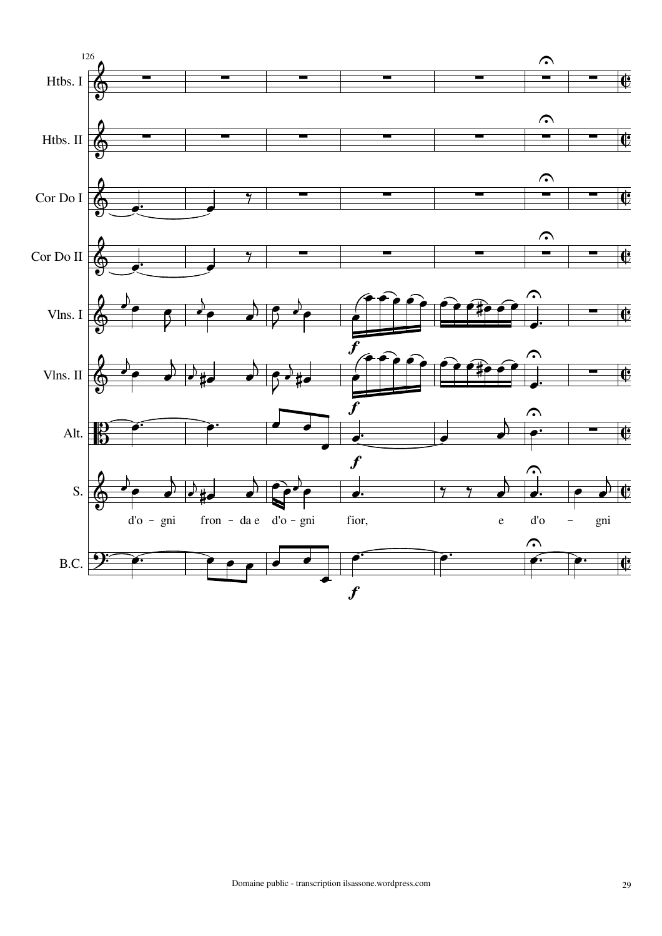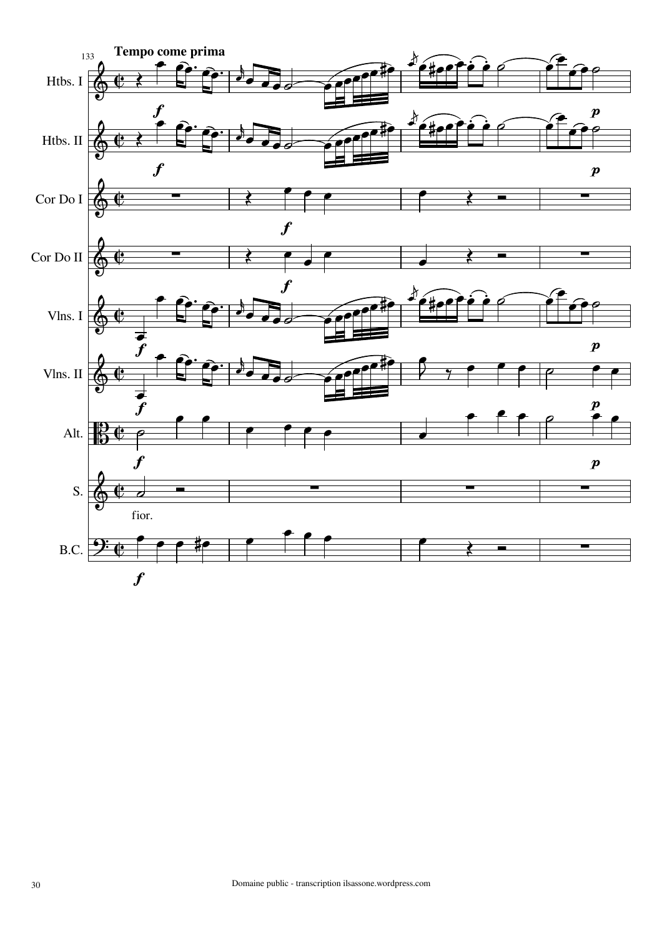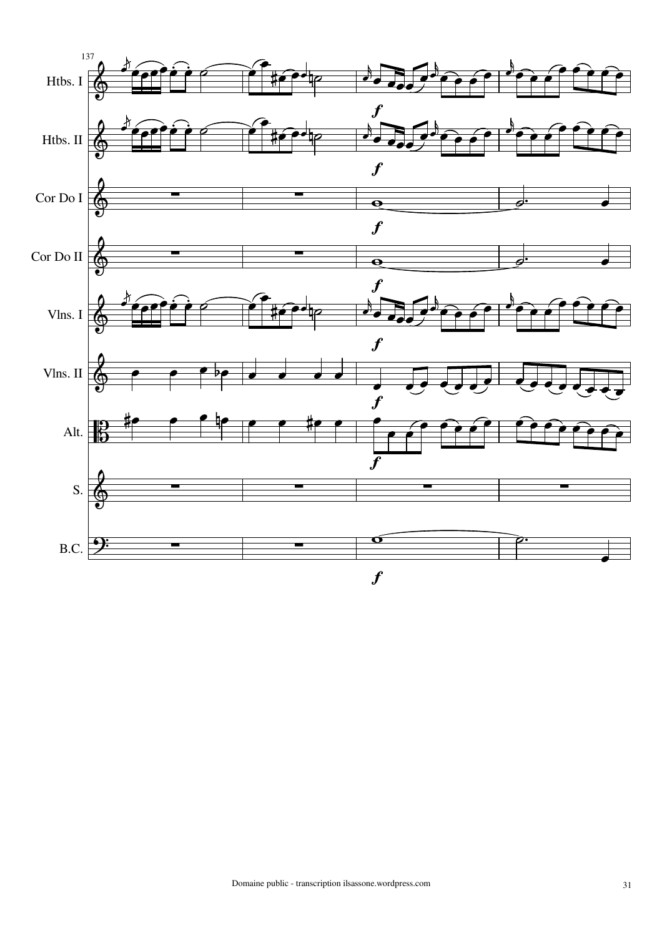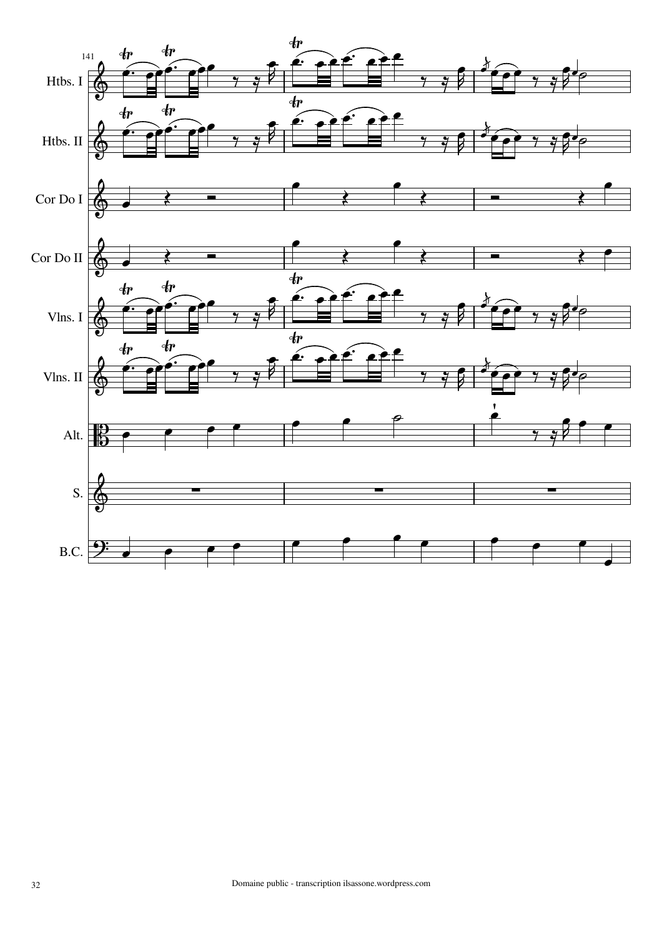